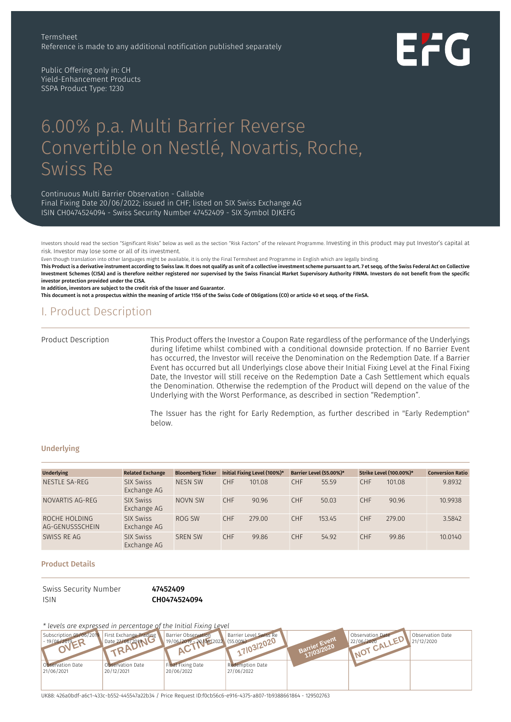Public Offering only in: CH Yield-Enhancement Products SSPA Product Type: 1230

# 6.00% p.a. Multi Barrier Reverse Convertible on Nestlé, Novartis, Roche, Swiss Re

Continuous Multi Barrier Observation - Callable

Final Fixing Date 20/06/2022; issued in CHF; listed on SIX Swiss Exchange AG ISIN CH0474524094 - Swiss Security Number 47452409 - SIX Symbol DJKEFG

Investors should read the section "Significant Risks" below as well as the section "Risk Factors" of the relevant Programme. Investing in this product may put Investor's capital at risk. Investor may lose some or all of its investment.

Even though translation into other languages might be available, it is only the Final Termsheet and Programme in English which are legally binding.

This Product is a derivative instrument according to Swiss law. It does not qualify as unit of a collective investment scheme pursuant to art. 7 et seqq. of the Swiss Federal Act on Collective Investment Schemes (CISA) and is therefore neither registered nor supervised by the Swiss Financial Market Supervisory Authority FINMA. Investors do not benefit from the specific investor protection provided under the CISA.

In addition, investors are subject to the credit risk of the Issuer and Guarantor.

This document is not a prospectus within the meaning of article 1156 of the Swiss Code of Obligations (CO) or article 40 et seqq. of the FinSA.

## I. Product Description

#### Product Description

This Product offers the Investor a Coupon Rate regardless of the performance of the Underlyings during lifetime whilst combined with a conditional downside protection. If no Barrier Event has occurred, the Investor will receive the Denomination on the Redemption Date. If a Barrier Event has occurred but all Underlyings close above their Initial Fixing Level at the Final Fixing Date, the Investor will still receive on the Redemption Date a Cash Settlement which equals the Denomination. Otherwise the redemption of the Product will depend on the value of the Underlying with the Worst Performance, as described in section "Redemption".

The Issuer has the right for Early Redemption, as further described in "Early Redemption" below.

#### **Underlying**

| <b>Underlying</b>                | <b>Related Exchange</b>         | <b>Bloomberg Ticker</b> |            | Initial Fixing Level (100%)* |            | Barrier Level (55.00%)* |            | <b>Strike Level (100.00%)*</b> | <b>Conversion Ratio</b> |
|----------------------------------|---------------------------------|-------------------------|------------|------------------------------|------------|-------------------------|------------|--------------------------------|-------------------------|
| NESTLE SA-REG                    | <b>SIX Swiss</b><br>Exchange AG | <b>NESN SW</b>          | <b>CHF</b> | 101.08                       | <b>CHF</b> | 55.59                   | <b>CHF</b> | 101.08                         | 9.8932                  |
| NOVARTIS AG-REG                  | <b>SIX Swiss</b><br>Exchange AG | NOVN SW                 | <b>CHF</b> | 90.96                        | <b>CHF</b> | 50.03                   | <b>CHF</b> | 90.96                          | 10.9938                 |
| ROCHE HOLDING<br>AG-GENUSSSCHEIN | <b>SIX Swiss</b><br>Exchange AG | ROG SW                  | <b>CHF</b> | 279.00                       | <b>CHF</b> | 153.45                  | <b>CHF</b> | 279.00                         | 3.5842                  |
| SWISS RE AG                      | <b>SIX Swiss</b><br>Exchange AG | <b>SREN SW</b>          | <b>CHF</b> | 99.86                        | <b>CHF</b> | 54.92                   | <b>CHF</b> | 99.86                          | 10.0140                 |

#### Product Details

Swiss Security Number 47452409 ISIN CH0474524094

*\* levels are expressed in percentage of the Initial Fixing Level*



UK88: 426a0bdf-a6c1-433c-b552-445547a22b34 / Price Request ID:f0cb56c6-e916-4375-a807-1b9388661864 - 129502763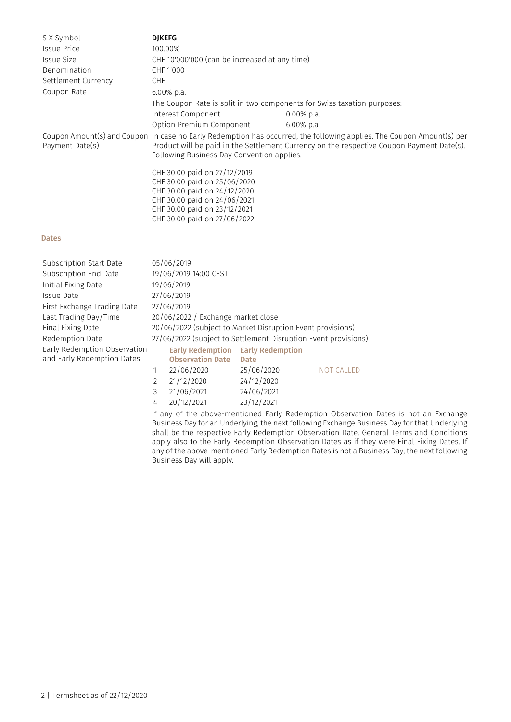| SIX Symbol          | <b>DIKEFG</b>                                                                                                                                                                                                                                                    |               |  |  |  |  |
|---------------------|------------------------------------------------------------------------------------------------------------------------------------------------------------------------------------------------------------------------------------------------------------------|---------------|--|--|--|--|
| <b>Issue Price</b>  | 100.00%                                                                                                                                                                                                                                                          |               |  |  |  |  |
| <b>Issue Size</b>   | CHF 10'000'000 (can be increased at any time)                                                                                                                                                                                                                    |               |  |  |  |  |
| Denomination        | CHF 1'000                                                                                                                                                                                                                                                        |               |  |  |  |  |
| Settlement Currency | <b>CHF</b>                                                                                                                                                                                                                                                       |               |  |  |  |  |
| Coupon Rate         | $6.00\%$ p.a.                                                                                                                                                                                                                                                    |               |  |  |  |  |
|                     | The Coupon Rate is split in two components for Swiss taxation purposes:                                                                                                                                                                                          |               |  |  |  |  |
|                     | Interest Component                                                                                                                                                                                                                                               | $0.00\%$ p.a. |  |  |  |  |
|                     | Option Premium Component                                                                                                                                                                                                                                         | $6.00\%$ p.a. |  |  |  |  |
| Payment Date(s)     | Coupon Amount(s) and Coupon In case no Early Redemption has occurred, the following applies. The Coupon Amount(s) per<br>Product will be paid in the Settlement Currency on the respective Coupon Payment Date(s).<br>Following Business Day Convention applies. |               |  |  |  |  |
|                     | CHF 30.00 paid on 27/12/2019                                                                                                                                                                                                                                     |               |  |  |  |  |
|                     | CHF 30.00 paid on 25/06/2020                                                                                                                                                                                                                                     |               |  |  |  |  |
|                     | CHF 30.00 paid on 24/12/2020                                                                                                                                                                                                                                     |               |  |  |  |  |
|                     | CHF 30.00 paid on 24/06/2021<br>CHF 30.00 paid on 23/12/2021                                                                                                                                                                                                     |               |  |  |  |  |
|                     | CHF 30.00 paid on 27/06/2022                                                                                                                                                                                                                                     |               |  |  |  |  |
|                     |                                                                                                                                                                                                                                                                  |               |  |  |  |  |

#### Dates

| Subscription Start Date                                    |                                                                | 05/06/2019                                         |                                 |                   |  |  |
|------------------------------------------------------------|----------------------------------------------------------------|----------------------------------------------------|---------------------------------|-------------------|--|--|
| Subscription End Date                                      |                                                                | 19/06/2019 14:00 CEST                              |                                 |                   |  |  |
| Initial Fixing Date                                        | 19/06/2019                                                     |                                                    |                                 |                   |  |  |
| Issue Date                                                 |                                                                | 27/06/2019                                         |                                 |                   |  |  |
| First Exchange Trading Date                                |                                                                | 27/06/2019                                         |                                 |                   |  |  |
| Last Trading Day/Time                                      |                                                                | 20/06/2022 / Exchange market close                 |                                 |                   |  |  |
| Final Fixing Date                                          | 20/06/2022 (subject to Market Disruption Event provisions)     |                                                    |                                 |                   |  |  |
| Redemption Date                                            | 27/06/2022 (subject to Settlement Disruption Event provisions) |                                                    |                                 |                   |  |  |
| Early Redemption Observation<br>and Early Redemption Dates |                                                                | <b>Early Redemption</b><br><b>Observation Date</b> | <b>Early Redemption</b><br>Date |                   |  |  |
|                                                            |                                                                | 22/06/2020                                         | 25/06/2020                      | <b>NOT CALLED</b> |  |  |
|                                                            | $\overline{2}$                                                 | 21/12/2020                                         | 24/12/2020                      |                   |  |  |
|                                                            | 3                                                              | 21/06/2021                                         | 24/06/2021                      |                   |  |  |

4 20/12/2021 23/12/2021

If any of the above-mentioned Early Redemption Observation Dates is not an Exchange Business Day for an Underlying, the next following Exchange Business Day for that Underlying shall be the respective Early Redemption Observation Date. General Terms and Conditions apply also to the Early Redemption Observation Dates as if they were Final Fixing Dates. If any of the above-mentioned Early Redemption Dates is not a Business Day, the next following Business Day will apply.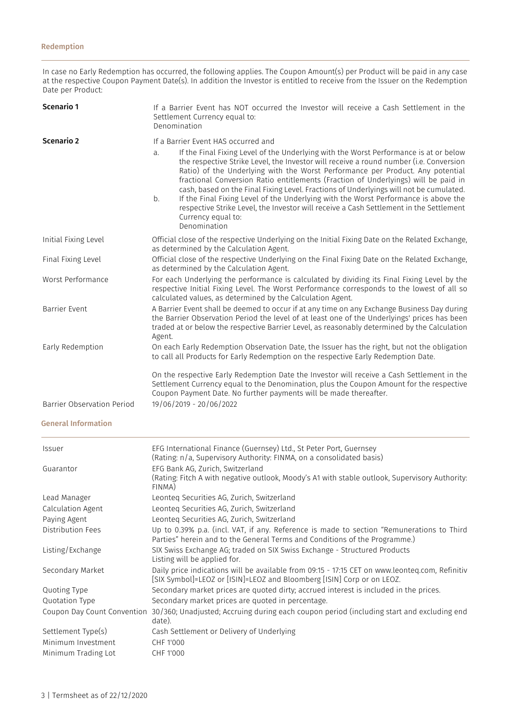In case no Early Redemption has occurred, the following applies. The Coupon Amount(s) per Product will be paid in any case at the respective Coupon Payment Date(s). In addition the Investor is entitled to receive from the Issuer on the Redemption Date per Product:

| Scenario 1                        | If a Barrier Event has NOT occurred the Investor will receive a Cash Settlement in the<br>Settlement Currency equal to:<br>Denomination                                                                                                                                                                                                                                                                                                                                                                                                                                                                                                                                                                                     |
|-----------------------------------|-----------------------------------------------------------------------------------------------------------------------------------------------------------------------------------------------------------------------------------------------------------------------------------------------------------------------------------------------------------------------------------------------------------------------------------------------------------------------------------------------------------------------------------------------------------------------------------------------------------------------------------------------------------------------------------------------------------------------------|
| Scenario 2                        | If a Barrier Event HAS occurred and<br>If the Final Fixing Level of the Underlying with the Worst Performance is at or below<br>a.<br>the respective Strike Level, the Investor will receive a round number (i.e. Conversion<br>Ratio) of the Underlying with the Worst Performance per Product. Any potential<br>fractional Conversion Ratio entitlements (Fraction of Underlyings) will be paid in<br>cash, based on the Final Fixing Level. Fractions of Underlyings will not be cumulated.<br>If the Final Fixing Level of the Underlying with the Worst Performance is above the<br>b.<br>respective Strike Level, the Investor will receive a Cash Settlement in the Settlement<br>Currency equal to:<br>Denomination |
| Initial Fixing Level              | Official close of the respective Underlying on the Initial Fixing Date on the Related Exchange,<br>as determined by the Calculation Agent.                                                                                                                                                                                                                                                                                                                                                                                                                                                                                                                                                                                  |
| Final Fixing Level                | Official close of the respective Underlying on the Final Fixing Date on the Related Exchange,<br>as determined by the Calculation Agent.                                                                                                                                                                                                                                                                                                                                                                                                                                                                                                                                                                                    |
| Worst Performance                 | For each Underlying the performance is calculated by dividing its Final Fixing Level by the<br>respective Initial Fixing Level. The Worst Performance corresponds to the lowest of all so<br>calculated values, as determined by the Calculation Agent.                                                                                                                                                                                                                                                                                                                                                                                                                                                                     |
| Barrier Event                     | A Barrier Event shall be deemed to occur if at any time on any Exchange Business Day during<br>the Barrier Observation Period the level of at least one of the Underlyings' prices has been<br>traded at or below the respective Barrier Level, as reasonably determined by the Calculation<br>Agent.                                                                                                                                                                                                                                                                                                                                                                                                                       |
| Early Redemption                  | On each Early Redemption Observation Date, the Issuer has the right, but not the obligation<br>to call all Products for Early Redemption on the respective Early Redemption Date.                                                                                                                                                                                                                                                                                                                                                                                                                                                                                                                                           |
| <b>Barrier Observation Period</b> | On the respective Early Redemption Date the Investor will receive a Cash Settlement in the<br>Settlement Currency equal to the Denomination, plus the Coupon Amount for the respective<br>Coupon Payment Date. No further payments will be made thereafter.<br>19/06/2019 - 20/06/2022                                                                                                                                                                                                                                                                                                                                                                                                                                      |

General Information

| <i>Issuer</i>               | EFG International Finance (Guernsey) Ltd., St Peter Port, Guernsey<br>(Rating: n/a, Supervisory Authority: FINMA, on a consolidated basis)                               |
|-----------------------------|--------------------------------------------------------------------------------------------------------------------------------------------------------------------------|
| Guarantor                   | EFG Bank AG, Zurich, Switzerland<br>(Rating: Fitch A with negative outlook, Moody's A1 with stable outlook, Supervisory Authority:<br>FINMA)                             |
| Lead Manager                | Leonteg Securities AG, Zurich, Switzerland                                                                                                                               |
| Calculation Agent           | Leonteg Securities AG, Zurich, Switzerland                                                                                                                               |
| Paying Agent                | Leonteg Securities AG, Zurich, Switzerland                                                                                                                               |
| Distribution Fees           | Up to 0.39% p.a. (incl. VAT, if any. Reference is made to section "Remunerations to Third<br>Parties" herein and to the General Terms and Conditions of the Programme.)  |
| Listing/Exchange            | SIX Swiss Exchange AG; traded on SIX Swiss Exchange - Structured Products<br>Listing will be applied for.                                                                |
| Secondary Market            | Daily price indications will be available from 09:15 - 17:15 CET on www.leonteq.com, Refinitiv<br>[SIX Symbol]=LEOZ or [ISIN]=LEOZ and Bloomberg [ISIN] Corp or on LEOZ. |
| Quoting Type                | Secondary market prices are quoted dirty; accrued interest is included in the prices.                                                                                    |
| Quotation Type              | Secondary market prices are quoted in percentage.                                                                                                                        |
| Coupon Day Count Convention | 30/360; Unadjusted; Accruing during each coupon period (including start and excluding end<br>date).                                                                      |
| Settlement Type(s)          | Cash Settlement or Delivery of Underlying                                                                                                                                |
| Minimum Investment          | CHF 1'000                                                                                                                                                                |
| Minimum Trading Lot         | CHF 1'000                                                                                                                                                                |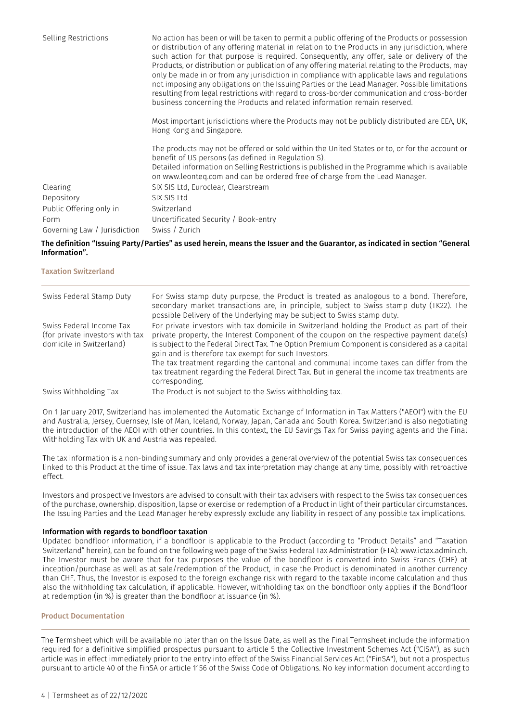| Selling Restrictions         | No action has been or will be taken to permit a public offering of the Products or possession<br>or distribution of any offering material in relation to the Products in any jurisdiction, where<br>such action for that purpose is required. Consequently, any offer, sale or delivery of the<br>Products, or distribution or publication of any offering material relating to the Products, may<br>only be made in or from any jurisdiction in compliance with applicable laws and regulations<br>not imposing any obligations on the Issuing Parties or the Lead Manager. Possible limitations<br>resulting from legal restrictions with regard to cross-border communication and cross-border<br>business concerning the Products and related information remain reserved. |  |  |
|------------------------------|--------------------------------------------------------------------------------------------------------------------------------------------------------------------------------------------------------------------------------------------------------------------------------------------------------------------------------------------------------------------------------------------------------------------------------------------------------------------------------------------------------------------------------------------------------------------------------------------------------------------------------------------------------------------------------------------------------------------------------------------------------------------------------|--|--|
|                              | Most important jurisdictions where the Products may not be publicly distributed are EEA, UK,<br>Hong Kong and Singapore.                                                                                                                                                                                                                                                                                                                                                                                                                                                                                                                                                                                                                                                       |  |  |
|                              | The products may not be offered or sold within the United States or to, or for the account or<br>benefit of US persons (as defined in Regulation S).<br>Detailed information on Selling Restrictions is published in the Programme which is available<br>on www.leonteg.com and can be ordered free of charge from the Lead Manager.                                                                                                                                                                                                                                                                                                                                                                                                                                           |  |  |
| Clearing                     | SIX SIS Ltd. Euroclear, Clearstream                                                                                                                                                                                                                                                                                                                                                                                                                                                                                                                                                                                                                                                                                                                                            |  |  |
| Depository                   | SIX SIS Ltd                                                                                                                                                                                                                                                                                                                                                                                                                                                                                                                                                                                                                                                                                                                                                                    |  |  |
| Public Offering only in      | Switzerland                                                                                                                                                                                                                                                                                                                                                                                                                                                                                                                                                                                                                                                                                                                                                                    |  |  |
| Form                         | Uncertificated Security / Book-entry                                                                                                                                                                                                                                                                                                                                                                                                                                                                                                                                                                                                                                                                                                                                           |  |  |
| Governing Law / Jurisdiction | Swiss / Zurich                                                                                                                                                                                                                                                                                                                                                                                                                                                                                                                                                                                                                                                                                                                                                                 |  |  |

#### The definition "Issuing Party/Parties" as used herein, means the Issuer and the Guarantor, as indicated in section "General Information".

#### Taxation Switzerland

| Swiss Federal Stamp Duty                                                                | For Swiss stamp duty purpose, the Product is treated as analogous to a bond. Therefore,<br>secondary market transactions are, in principle, subject to Swiss stamp duty (TK22). The<br>possible Delivery of the Underlying may be subject to Swiss stamp duty.                                                                                                                                                                                                                                                                             |
|-----------------------------------------------------------------------------------------|--------------------------------------------------------------------------------------------------------------------------------------------------------------------------------------------------------------------------------------------------------------------------------------------------------------------------------------------------------------------------------------------------------------------------------------------------------------------------------------------------------------------------------------------|
| Swiss Federal Income Tax<br>(for private investors with tax<br>domicile in Switzerland) | For private investors with tax domicile in Switzerland holding the Product as part of their<br>private property, the Interest Component of the coupon on the respective payment date(s)<br>is subject to the Federal Direct Tax. The Option Premium Component is considered as a capital<br>gain and is therefore tax exempt for such Investors.<br>The tax treatment regarding the cantonal and communal income taxes can differ from the<br>tax treatment regarding the Federal Direct Tax. But in general the income tax treatments are |
| Swiss Withholding Tax                                                                   | corresponding.<br>The Product is not subject to the Swiss withholding tax.                                                                                                                                                                                                                                                                                                                                                                                                                                                                 |

On 1 January 2017, Switzerland has implemented the Automatic Exchange of Information in Tax Matters ("AEOI") with the EU and Australia, Jersey, Guernsey, Isle of Man, Iceland, Norway, Japan, Canada and South Korea. Switzerland is also negotiating the introduction of the AEOI with other countries. In this context, the EU Savings Tax for Swiss paying agents and the Final Withholding Tax with UK and Austria was repealed.

The tax information is a non-binding summary and only provides a general overview of the potential Swiss tax consequences linked to this Product at the time of issue. Tax laws and tax interpretation may change at any time, possibly with retroactive effect.

Investors and prospective Investors are advised to consult with their tax advisers with respect to the Swiss tax consequences of the purchase, ownership, disposition, lapse or exercise or redemption of a Product in light of their particular circumstances. The Issuing Parties and the Lead Manager hereby expressly exclude any liability in respect of any possible tax implications.

#### Information with regards to bondfloor taxation

Updated bondfloor information, if a bondfloor is applicable to the Product (according to "Product Details" and "Taxation Switzerland" herein), can be found on the following web page of the Swiss Federal Tax Administration (FTA): www.ictax.admin.ch. The Investor must be aware that for tax purposes the value of the bondfloor is converted into Swiss Francs (CHF) at inception/purchase as well as at sale/redemption of the Product, in case the Product is denominated in another currency than CHF. Thus, the Investor is exposed to the foreign exchange risk with regard to the taxable income calculation and thus also the withholding tax calculation, if applicable. However, withholding tax on the bondfloor only applies if the Bondfloor at redemption (in %) is greater than the bondfloor at issuance (in %).

#### Product Documentation

The Termsheet which will be available no later than on the Issue Date, as well as the Final Termsheet include the information required for a definitive simplified prospectus pursuant to article 5 the Collective Investment Schemes Act ("CISA"), as such article was in effect immediately prior to the entry into effect of the Swiss Financial Services Act ("FinSA"), but not a prospectus pursuant to article 40 of the FinSA or article 1156 of the Swiss Code of Obligations. No key information document according to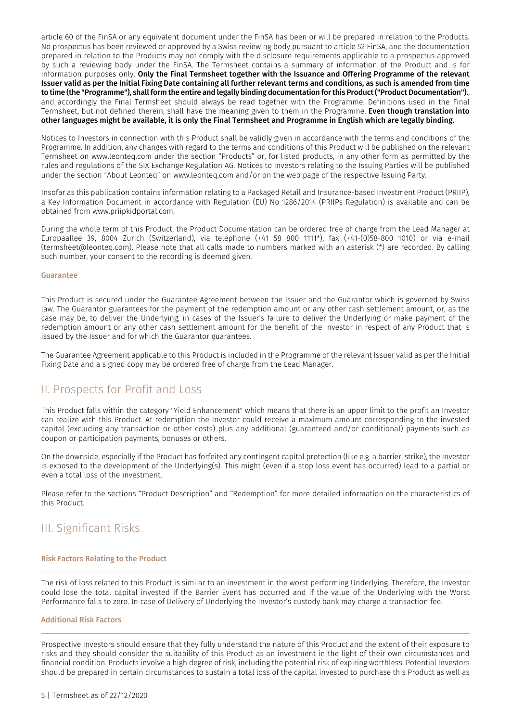article 60 of the FinSA or any equivalent document under the FinSA has been or will be prepared in relation to the Products. No prospectus has been reviewed or approved by a Swiss reviewing body pursuant to article 52 FinSA, and the documentation prepared in relation to the Products may not comply with the disclosure requirements applicable to a prospectus approved by such a reviewing body under the FinSA. The Termsheet contains a summary of information of the Product and is for information purposes only. Only the Final Termsheet together with the Issuance and Offering Programme of the relevant Issuer valid as per the Initial Fixing Date containing all further relevant terms and conditions, as such is amended from time to time (the "Programme"), shallform the entire and legally binding documentation forthis Product("Product Documentation")., and accordingly the Final Termsheet should always be read together with the Programme. Definitions used in the Final Termsheet, but not defined therein, shall have the meaning given to them in the Programme. Even though translation into other languages might be available, it is only the Final Termsheet and Programme in English which are legally binding.

Notices to Investors in connection with this Product shall be validly given in accordance with the terms and conditions of the Programme. In addition, any changes with regard to the terms and conditions of this Product will be published on the relevant Termsheet on www.leonteq.com under the section "Products" or, for listed products, in any other form as permitted by the rules and regulations of the SIX Exchange Regulation AG. Notices to Investors relating to the Issuing Parties will be published under the section "About Leonteq" on www.leonteq.com and/or on the web page of the respective Issuing Party.

Insofar as this publication contains information relating to a Packaged Retail and Insurance-based Investment Product (PRIIP), a Key Information Document in accordance with Regulation (EU) No 1286/2014 (PRIIPs Regulation) is available and can be obtained from www.priipkidportal.com.

During the whole term of this Product, the Product Documentation can be ordered free of charge from the Lead Manager at Europaallee 39, 8004 Zurich (Switzerland), via telephone (+41 58 800 1111\*), fax (+41-(0)58-800 1010) or via e-mail (termsheet@leonteq.com). Please note that all calls made to numbers marked with an asterisk (\*) are recorded. By calling such number, your consent to the recording is deemed given.

#### Guarantee

This Product is secured under the Guarantee Agreement between the Issuer and the Guarantor which is governed by Swiss law. The Guarantor guarantees for the payment of the redemption amount or any other cash settlement amount, or, as the case may be, to deliver the Underlying, in cases of the Issuer's failure to deliver the Underlying or make payment of the redemption amount or any other cash settlement amount for the benefit of the Investor in respect of any Product that is issued by the Issuer and for which the Guarantor guarantees.

The Guarantee Agreement applicable to this Product is included in the Programme of the relevant Issuer valid as per the Initial Fixing Date and a signed copy may be ordered free of charge from the Lead Manager.

## II. Prospects for Profit and Loss

This Product falls within the category "Yield Enhancement" which means that there is an upper limit to the profit an Investor can realize with this Product. At redemption the Investor could receive a maximum amount corresponding to the invested capital (excluding any transaction or other costs) plus any additional (guaranteed and/or conditional) payments such as coupon or participation payments, bonuses or others.

On the downside, especially if the Product has forfeited any contingent capital protection (like e.g. a barrier, strike), the Investor is exposed to the development of the Underlying(s). This might (even if a stop loss event has occurred) lead to a partial or even a total loss of the investment.

Please refer to the sections "Product Description" and "Redemption" for more detailed information on the characteristics of this Product.

# III. Significant Risks

#### Risk Factors Relating to the Product

The risk of loss related to this Product is similar to an investment in the worst performing Underlying. Therefore, the Investor could lose the total capital invested if the Barrier Event has occurred and if the value of the Underlying with the Worst Performance falls to zero. In case of Delivery of Underlying the Investor's custody bank may charge a transaction fee.

#### Additional Risk Factors

Prospective Investors should ensure that they fully understand the nature of this Product and the extent of their exposure to risks and they should consider the suitability of this Product as an investment in the light of their own circumstances and financial condition. Products involve a high degree of risk, including the potential risk of expiring worthless. Potential Investors should be prepared in certain circumstances to sustain a total loss of the capital invested to purchase this Product as well as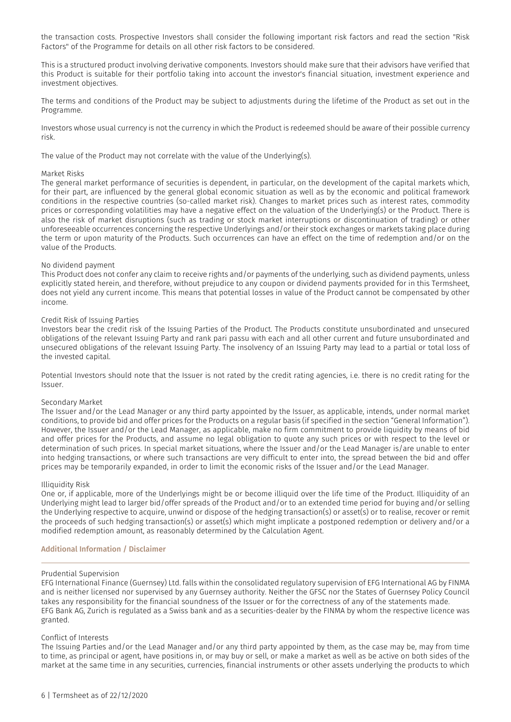the transaction costs. Prospective Investors shall consider the following important risk factors and read the section "Risk Factors" of the Programme for details on all other risk factors to be considered.

This is a structured product involving derivative components. Investors should make sure that their advisors have verified that this Product is suitable for their portfolio taking into account the investor's financial situation, investment experience and investment objectives.

The terms and conditions of the Product may be subject to adjustments during the lifetime of the Product as set out in the Programme.

Investors whose usual currency is not the currency in which the Product is redeemed should be aware of their possible currency risk.

The value of the Product may not correlate with the value of the Underlying(s).

#### Market Risks

The general market performance of securities is dependent, in particular, on the development of the capital markets which, for their part, are influenced by the general global economic situation as well as by the economic and political framework conditions in the respective countries (so-called market risk). Changes to market prices such as interest rates, commodity prices or corresponding volatilities may have a negative effect on the valuation of the Underlying(s) or the Product. There is also the risk of market disruptions (such as trading or stock market interruptions or discontinuation of trading) or other unforeseeable occurrences concerning the respective Underlyings and/or their stock exchanges or markets taking place during the term or upon maturity of the Products. Such occurrences can have an effect on the time of redemption and/or on the value of the Products.

#### No dividend payment

This Product does not confer any claim to receive rights and/or payments of the underlying, such as dividend payments, unless explicitly stated herein, and therefore, without prejudice to any coupon or dividend payments provided for in this Termsheet, does not yield any current income. This means that potential losses in value of the Product cannot be compensated by other income.

#### Credit Risk of Issuing Parties

Investors bear the credit risk of the Issuing Parties of the Product. The Products constitute unsubordinated and unsecured obligations of the relevant Issuing Party and rank pari passu with each and all other current and future unsubordinated and unsecured obligations of the relevant Issuing Party. The insolvency of an Issuing Party may lead to a partial or total loss of the invested capital.

Potential Investors should note that the Issuer is not rated by the credit rating agencies, i.e. there is no credit rating for the Issuer.

#### Secondary Market

The Issuer and/or the Lead Manager or any third party appointed by the Issuer, as applicable, intends, under normal market conditions, to provide bid and offer prices for the Products on a regular basis (if specified in the section "General Information"). However, the Issuer and/or the Lead Manager, as applicable, make no firm commitment to provide liquidity by means of bid and offer prices for the Products, and assume no legal obligation to quote any such prices or with respect to the level or determination of such prices. In special market situations, where the Issuer and/or the Lead Manager is/are unable to enter into hedging transactions, or where such transactions are very difficult to enter into, the spread between the bid and offer prices may be temporarily expanded, in order to limit the economic risks of the Issuer and/or the Lead Manager.

#### Illiquidity Risk

One or, if applicable, more of the Underlyings might be or become illiquid over the life time of the Product. Illiquidity of an Underlying might lead to larger bid/offer spreads of the Product and/or to an extended time period for buying and/or selling the Underlying respective to acquire, unwind or dispose of the hedging transaction(s) or asset(s) or to realise, recover or remit the proceeds of such hedging transaction(s) or asset(s) which might implicate a postponed redemption or delivery and/or a modified redemption amount, as reasonably determined by the Calculation Agent.

#### Additional Information / Disclaimer

#### Prudential Supervision

EFG International Finance (Guernsey) Ltd. falls within the consolidated regulatory supervision of EFG International AG by FINMA and is neither licensed nor supervised by any Guernsey authority. Neither the GFSC nor the States of Guernsey Policy Council takes any responsibility for the financial soundness of the Issuer or for the correctness of any of the statements made. EFG Bank AG, Zurich is regulated as a Swiss bank and as a securities-dealer by the FINMA by whom the respective licence was granted.

#### Conflict of Interests

The Issuing Parties and/or the Lead Manager and/or any third party appointed by them, as the case may be, may from time to time, as principal or agent, have positions in, or may buy or sell, or make a market as well as be active on both sides of the market at the same time in any securities, currencies, financial instruments or other assets underlying the products to which